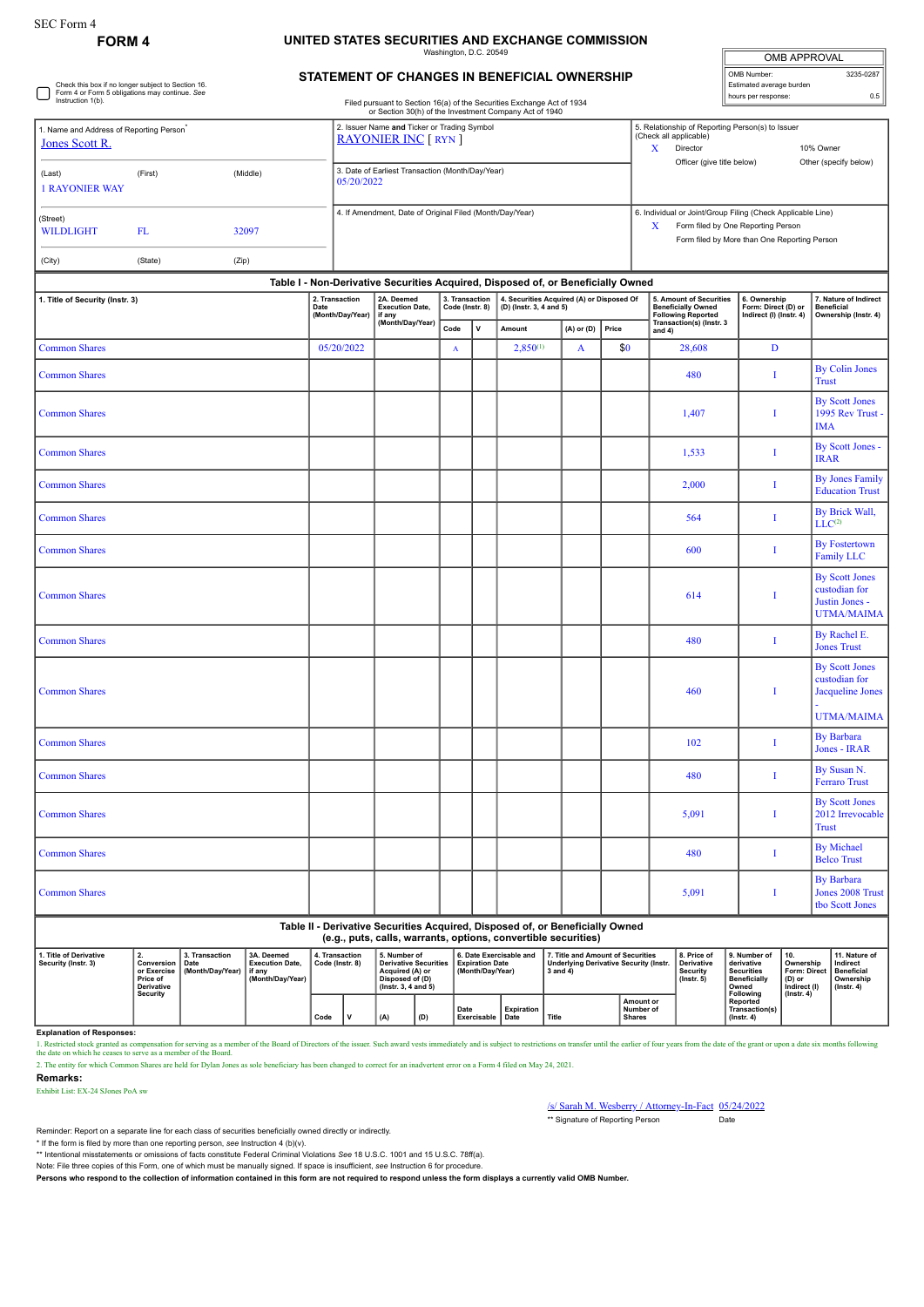Check this box if no longer subject to Section 16. Form 4 or Form 5 obligations may continue. *See* Instruction 1(b).

## **FORM 4 UNITED STATES SECURITIES AND EXCHANGE COMMISSION**

Washington, D.C. 20549

| <b>OMB APPROVAL</b>      |           |
|--------------------------|-----------|
| OMB Number:              | 3235-0287 |
| Estimated average burden |           |
| hours per response:      | 0.5       |

| STATEMENT OF CHANGES IN BENEFICIAL OWNERSHIP |  |
|----------------------------------------------|--|

Filed pursuant to Section 16(a) of the Securities Exchange Act of 1934 or Section 30(h) of the Investment Company Act of 1940

|                                                                        |         |          | or Section 30(h) of the Investment Company Act of 1940                        |   |                                                                                                                                                   |                                    |  |
|------------------------------------------------------------------------|---------|----------|-------------------------------------------------------------------------------|---|---------------------------------------------------------------------------------------------------------------------------------------------------|------------------------------------|--|
| 1. Name and Address of Reporting Person <sup>*</sup><br>Jones Scott R. |         |          | 2. Issuer Name and Ticker or Trading Symbol<br><b>RAYONIER INC [ RYN ]</b>    | x | 5. Relationship of Reporting Person(s) to Issuer<br>(Check all applicable)<br>Director<br>Officer (give title below)                              | 10% Owner<br>Other (specify below) |  |
| (Last)<br><b>1 RAYONIER WAY</b>                                        | (First) | (Middle) | 3. Date of Earliest Transaction (Month/Day/Year)<br>05/20/2022                |   |                                                                                                                                                   |                                    |  |
| (Street)<br><b>WILDLIGHT</b>                                           | FL.     | 32097    | 4. If Amendment, Date of Original Filed (Month/Day/Year)                      | X | 6. Individual or Joint/Group Filing (Check Applicable Line)<br>Form filed by One Reporting Person<br>Form filed by More than One Reporting Person |                                    |  |
| (City)                                                                 | (State) | (Zip)    |                                                                               |   |                                                                                                                                                   |                                    |  |
|                                                                        |         |          | Table L. Non-Derivative Securities Acquired Disposed of or Reneficially Owned |   |                                                                                                                                                   |                                    |  |

| 1. Title of Security (Instr. 3)                                                                                                                                                                            |                 |                  |                                                                                                                                                | Date       | 2. Transaction<br>(Month/Day/Year) | 2A. Deemed<br><b>Execution Date,</b><br>if any                                                                                                  |                                            | 3. Transaction<br>Code (Instr. 8)                                                                                         |                  | Table T - Non-Derivative Securities Acquired, Disposed of, or Beneficially Owned<br>4. Securities Acquired (A) or Disposed Of<br>(D) (Instr. 3, 4 and 5) |              |                                                                  |                                                                                                               | 5. Amount of Securities<br><b>Beneficially Owned</b><br><b>Following Reported</b> | 6. Ownership<br>Form: Direct (D) or<br>Indirect (I) (Instr. 4)                  |                                                | 7. Nature of Indirect<br><b>Beneficial</b><br>Ownership (Instr. 4) |                                                                                 |  |
|------------------------------------------------------------------------------------------------------------------------------------------------------------------------------------------------------------|-----------------|------------------|------------------------------------------------------------------------------------------------------------------------------------------------|------------|------------------------------------|-------------------------------------------------------------------------------------------------------------------------------------------------|--------------------------------------------|---------------------------------------------------------------------------------------------------------------------------|------------------|----------------------------------------------------------------------------------------------------------------------------------------------------------|--------------|------------------------------------------------------------------|---------------------------------------------------------------------------------------------------------------|-----------------------------------------------------------------------------------|---------------------------------------------------------------------------------|------------------------------------------------|--------------------------------------------------------------------|---------------------------------------------------------------------------------|--|
|                                                                                                                                                                                                            |                 |                  |                                                                                                                                                |            |                                    | (Month/Day/Year)                                                                                                                                |                                            | Code                                                                                                                      | $\mathbf{v}$     | Amount                                                                                                                                                   |              | (A) or (D)                                                       | Price                                                                                                         |                                                                                   | Transaction(s) (Instr. 3<br>and $4)$                                            |                                                |                                                                    |                                                                                 |  |
| <b>Common Shares</b>                                                                                                                                                                                       |                 |                  |                                                                                                                                                | 05/20/2022 |                                    |                                                                                                                                                 |                                            | $\mathbf A$                                                                                                               |                  | $2,850^{(1)}$                                                                                                                                            |              | A                                                                | \$0                                                                                                           |                                                                                   | 28,608                                                                          | D                                              |                                                                    |                                                                                 |  |
| <b>Common Shares</b>                                                                                                                                                                                       |                 |                  |                                                                                                                                                |            |                                    |                                                                                                                                                 |                                            |                                                                                                                           |                  |                                                                                                                                                          |              |                                                                  |                                                                                                               |                                                                                   | 480                                                                             | Ι                                              |                                                                    | <b>By Colin Jones</b><br><b>Trust</b>                                           |  |
| <b>Common Shares</b>                                                                                                                                                                                       |                 |                  |                                                                                                                                                |            |                                    |                                                                                                                                                 |                                            |                                                                                                                           |                  |                                                                                                                                                          |              |                                                                  |                                                                                                               |                                                                                   | 1,407                                                                           | $\mathbf{I}$                                   |                                                                    | <b>By Scott Jones</b><br>1995 Rev Trust -<br><b>IMA</b>                         |  |
| <b>Common Shares</b>                                                                                                                                                                                       |                 |                  |                                                                                                                                                |            |                                    |                                                                                                                                                 |                                            |                                                                                                                           |                  |                                                                                                                                                          |              |                                                                  |                                                                                                               |                                                                                   | 1,533                                                                           | Ι                                              |                                                                    | By Scott Jones -<br><b>IRAR</b>                                                 |  |
| <b>Common Shares</b>                                                                                                                                                                                       |                 |                  |                                                                                                                                                |            |                                    |                                                                                                                                                 |                                            |                                                                                                                           |                  |                                                                                                                                                          |              |                                                                  |                                                                                                               |                                                                                   | 2,000                                                                           | $\mathbf{I}$                                   |                                                                    | <b>By Jones Family</b><br><b>Education Trust</b>                                |  |
| <b>Common Shares</b>                                                                                                                                                                                       |                 |                  |                                                                                                                                                |            |                                    |                                                                                                                                                 |                                            |                                                                                                                           |                  |                                                                                                                                                          |              |                                                                  |                                                                                                               |                                                                                   | 564                                                                             | $\mathbf I$                                    |                                                                    | By Brick Wall,<br>LLC <sup>(2)</sup>                                            |  |
| <b>Common Shares</b>                                                                                                                                                                                       |                 |                  |                                                                                                                                                |            |                                    |                                                                                                                                                 |                                            |                                                                                                                           |                  |                                                                                                                                                          |              |                                                                  |                                                                                                               |                                                                                   | 600                                                                             | $\mathbf{I}$                                   |                                                                    | <b>By Fostertown</b><br><b>Family LLC</b>                                       |  |
| <b>Common Shares</b>                                                                                                                                                                                       |                 |                  |                                                                                                                                                |            |                                    |                                                                                                                                                 |                                            |                                                                                                                           |                  |                                                                                                                                                          |              |                                                                  |                                                                                                               |                                                                                   | 614                                                                             | T                                              |                                                                    | <b>By Scott Jones</b><br>custodian for<br>Justin Jones -<br><b>UTMA/MAIMA</b>   |  |
| <b>Common Shares</b>                                                                                                                                                                                       |                 |                  |                                                                                                                                                |            |                                    |                                                                                                                                                 |                                            |                                                                                                                           |                  |                                                                                                                                                          |              |                                                                  |                                                                                                               |                                                                                   | 480                                                                             | I                                              |                                                                    | By Rachel E.<br><b>Jones Trust</b>                                              |  |
| <b>Common Shares</b>                                                                                                                                                                                       |                 |                  |                                                                                                                                                |            |                                    |                                                                                                                                                 |                                            |                                                                                                                           |                  |                                                                                                                                                          |              |                                                                  |                                                                                                               |                                                                                   | 460                                                                             | $\mathbf{I}$                                   |                                                                    | <b>By Scott Jones</b><br>custodian for<br>Jacqueline Jones<br><b>UTMA/MAIMA</b> |  |
| <b>Common Shares</b>                                                                                                                                                                                       |                 |                  |                                                                                                                                                |            |                                    |                                                                                                                                                 |                                            |                                                                                                                           |                  |                                                                                                                                                          |              |                                                                  |                                                                                                               |                                                                                   | 102                                                                             | T                                              |                                                                    | <b>By Barbara</b><br>Jones - IRAR                                               |  |
| <b>Common Shares</b>                                                                                                                                                                                       |                 |                  |                                                                                                                                                |            |                                    |                                                                                                                                                 |                                            |                                                                                                                           |                  |                                                                                                                                                          |              |                                                                  |                                                                                                               |                                                                                   | 480                                                                             | I                                              |                                                                    | By Susan N.<br><b>Ferraro Trust</b>                                             |  |
| <b>Common Shares</b>                                                                                                                                                                                       |                 |                  |                                                                                                                                                |            |                                    |                                                                                                                                                 |                                            |                                                                                                                           |                  |                                                                                                                                                          |              |                                                                  |                                                                                                               |                                                                                   | 5,091                                                                           | Ι                                              |                                                                    | <b>By Scott Jones</b><br>2012 Irrevocable<br><b>Trust</b>                       |  |
| <b>Common Shares</b>                                                                                                                                                                                       |                 |                  |                                                                                                                                                |            |                                    |                                                                                                                                                 |                                            |                                                                                                                           |                  |                                                                                                                                                          |              |                                                                  |                                                                                                               |                                                                                   | 480                                                                             | Ι                                              |                                                                    | <b>By Michael</b><br><b>Belco Trust</b>                                         |  |
| <b>Common Shares</b>                                                                                                                                                                                       |                 |                  |                                                                                                                                                |            |                                    |                                                                                                                                                 |                                            |                                                                                                                           |                  |                                                                                                                                                          |              |                                                                  |                                                                                                               |                                                                                   | 5,091                                                                           | П                                              |                                                                    | <b>By Barbara</b><br>Jones 2008 Trust<br>tbo Scott Jones                        |  |
|                                                                                                                                                                                                            |                 |                  |                                                                                                                                                |            |                                    | Table II - Derivative Securities Acquired, Disposed of, or Beneficially Owned<br>(e.g., puts, calls, warrants, options, convertible securities) |                                            |                                                                                                                           |                  |                                                                                                                                                          |              |                                                                  |                                                                                                               |                                                                                   |                                                                                 |                                                |                                                                    |                                                                                 |  |
| 1. Title of Derivative<br>3. Transaction<br>Date<br>3A. Deemed<br>2.<br>Conversion<br>Security (Instr. 3)<br><b>Execution Date,</b><br>or Exercise<br>(Month/Day/Year)<br>if any<br>Price of<br>Derivative |                 | (Month/Day/Year) | 4. Transaction<br>5. Number of<br>Code (Instr. 8)<br><b>Derivative Securities</b><br>Acquired (A) or<br>Disposed of (D)<br>(Instr. 3, 4 and 5) |            |                                    |                                                                                                                                                 | <b>Expiration Date</b><br>(Month/Day/Year) | 6. Date Exercisable and<br>7. Title and Amount of Securities<br><b>Underlying Derivative Security (Instr.</b><br>3 and 4) |                  |                                                                                                                                                          |              | 8. Price of<br><b>Derivative</b><br>Security<br>$($ lnstr. 5 $)$ | 9. Number of<br>10.<br>derivative<br><b>Securities</b><br><b>Beneficially</b><br>(D) or<br>Owned<br>Following | Ownership<br>Form: Direct<br>Indirect (I)                                         | 11. Nature of<br>Indirect<br><b>Beneficial</b><br>Ownership<br>$($ Instr. 4 $)$ |                                                |                                                                    |                                                                                 |  |
|                                                                                                                                                                                                            | <b>Security</b> |                  |                                                                                                                                                | Code       | $\mathbf v$                        | (A)                                                                                                                                             | (D)                                        | Date                                                                                                                      | Exercisable Date | Expiration                                                                                                                                               | <b>Title</b> |                                                                  |                                                                                                               | Amount or<br>Number of<br><b>Shares</b>                                           |                                                                                 | Reported<br>Transaction(s)<br>$($ Instr. 4 $)$ |                                                                    | $($ Instr. 4 $)$                                                                |  |

**Explanation of Responses:**

1. Restricted stock granted as compensation for serving as a member of the Board of Directors of the issuer. Such award vests immediately and is subject to restrictions on transfer until the earlier of four years from the

**Remarks:**

Exhibit List: EX-24 SJones PoA sw

/s/ Sarah M. Wesberry / Attorney-In-Fact 05/24/2022 \*\* Signature of Reporting Person Date

Reminder: Report on a separate line for each class of securities beneficially owned directly or indirectly.

\* If the form is filed by more than one reporting person, see Instruction 4 (b)(v).<br>\*\* Intentional misstatements or omissions of facts constitute Federal Criminal Violations See 18 U.S.C. 1001 and 15 U.S.C. 78ff(a).

Note: File three copies of this Form, one of which must be manually signed. If space is insufficient, *see* Instruction 6 for procedure.

**Persons who respond to the collection of information contained in this form are not required to respond unless the form displays a currently valid OMB Number.**